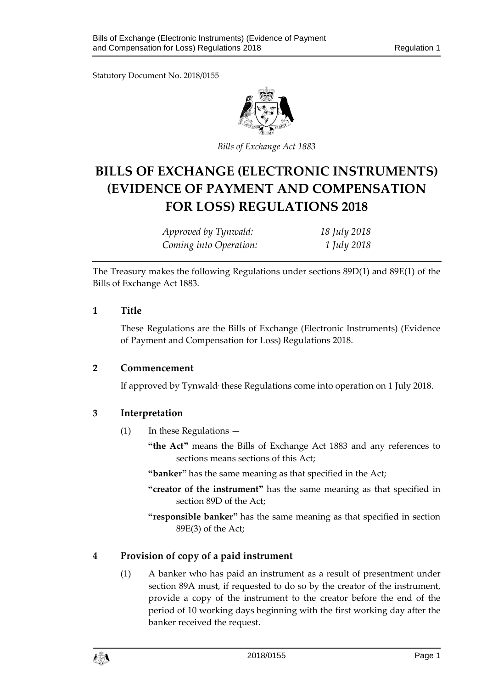Statutory Document No. 2018/0155



*Bills of Exchange Act 1883*

# **BILLS OF EXCHANGE (ELECTRONIC INSTRUMENTS) (EVIDENCE OF PAYMENT AND COMPENSATION FOR LOSS) REGULATIONS 2018**

| Approved by Tynwald:   | 18 July 2018 |
|------------------------|--------------|
| Coming into Operation: | 1 July 2018  |

The Treasury makes the following Regulations under sections 89D(1) and 89E(1) of the Bills of Exchange Act 1883.

#### **1 Title**

These Regulations are the Bills of Exchange (Electronic Instruments) (Evidence of Payment and Compensation for Loss) Regulations 2018.

#### **2 Commencement**

If approved by Tynwald<sup>,</sup> these Regulations come into operation on 1 July 2018.

#### **3 Interpretation**

- (1) In these Regulations
	- **"the Act"** means the Bills of Exchange Act 1883 and any references to sections means sections of this Act;
	- **"banker"** has the same meaning as that specified in the Act;
	- **"creator of the instrument"** has the same meaning as that specified in section 89D of the Act;
	- **"responsible banker"** has the same meaning as that specified in section 89E(3) of the Act;

# **4 Provision of copy of a paid instrument**

(1) A banker who has paid an instrument as a result of presentment under section 89A must, if requested to do so by the creator of the instrument, provide a copy of the instrument to the creator before the end of the period of 10 working days beginning with the first working day after the banker received the request.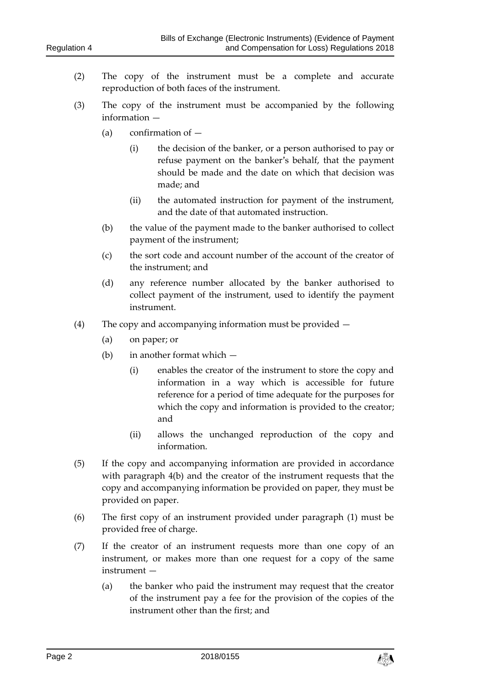- (2) The copy of the instrument must be a complete and accurate reproduction of both faces of the instrument.
- (3) The copy of the instrument must be accompanied by the following information —
	- (a) confirmation of
		- (i) the decision of the banker, or a person authorised to pay or refuse payment on the banker's behalf, that the payment should be made and the date on which that decision was made; and
		- (ii) the automated instruction for payment of the instrument, and the date of that automated instruction.
	- (b) the value of the payment made to the banker authorised to collect payment of the instrument;
	- (c) the sort code and account number of the account of the creator of the instrument; and
	- (d) any reference number allocated by the banker authorised to collect payment of the instrument, used to identify the payment instrument.
- (4) The copy and accompanying information must be provided
	- (a) on paper; or
	- (b) in another format which
		- (i) enables the creator of the instrument to store the copy and information in a way which is accessible for future reference for a period of time adequate for the purposes for which the copy and information is provided to the creator; and
		- (ii) allows the unchanged reproduction of the copy and information.
- (5) If the copy and accompanying information are provided in accordance with paragraph 4(b) and the creator of the instrument requests that the copy and accompanying information be provided on paper, they must be provided on paper.
- (6) The first copy of an instrument provided under paragraph (1) must be provided free of charge.
- (7) If the creator of an instrument requests more than one copy of an instrument, or makes more than one request for a copy of the same instrument —
	- (a) the banker who paid the instrument may request that the creator of the instrument pay a fee for the provision of the copies of the instrument other than the first; and

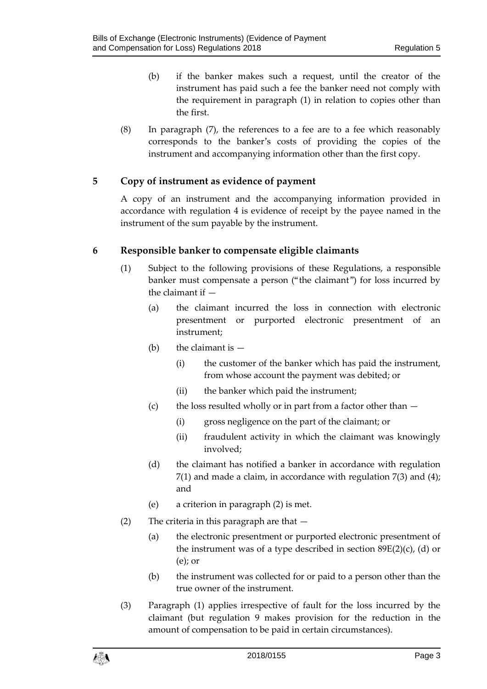- (b) if the banker makes such a request, until the creator of the instrument has paid such a fee the banker need not comply with the requirement in paragraph (1) in relation to copies other than the first.
- (8) In paragraph (7), the references to a fee are to a fee which reasonably corresponds to the banker's costs of providing the copies of the instrument and accompanying information other than the first copy.

# **5 Copy of instrument as evidence of payment**

A copy of an instrument and the accompanying information provided in accordance with regulation 4 is evidence of receipt by the payee named in the instrument of the sum payable by the instrument.

#### **6 Responsible banker to compensate eligible claimants**

- (1) Subject to the following provisions of these Regulations, a responsible banker must compensate a person ("the claimant") for loss incurred by the claimant if —
	- (a) the claimant incurred the loss in connection with electronic presentment or purported electronic presentment of an instrument;
	- (b) the claimant is  $-$ 
		- (i) the customer of the banker which has paid the instrument, from whose account the payment was debited; or
		- (ii) the banker which paid the instrument;
	- (c) the loss resulted wholly or in part from a factor other than
		- (i) gross negligence on the part of the claimant; or
		- (ii) fraudulent activity in which the claimant was knowingly involved;
	- (d) the claimant has notified a banker in accordance with regulation  $7(1)$  and made a claim, in accordance with regulation  $7(3)$  and  $(4)$ ; and
	- (e) a criterion in paragraph (2) is met.
- (2) The criteria in this paragraph are that  $-$ 
	- (a) the electronic presentment or purported electronic presentment of the instrument was of a type described in section  $89E(2)(c)$ , (d) or (e); or
	- (b) the instrument was collected for or paid to a person other than the true owner of the instrument.
- (3) Paragraph (1) applies irrespective of fault for the loss incurred by the claimant (but regulation 9 makes provision for the reduction in the amount of compensation to be paid in certain circumstances).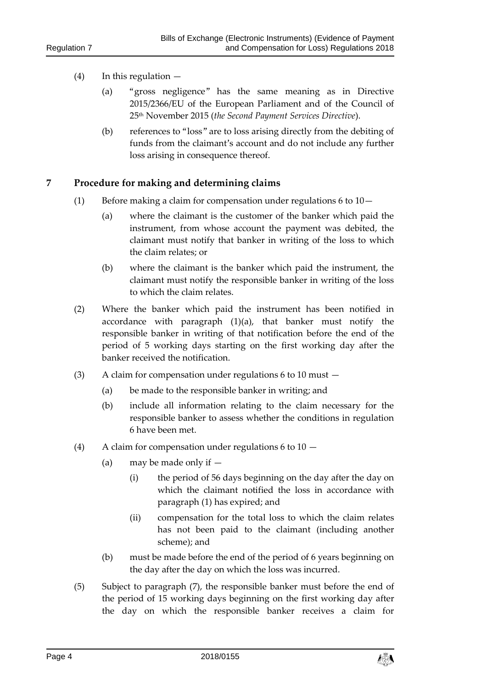#### (4) In this regulation —

- (a) "gross negligence" has the same meaning as in Directive 2015/2366/EU of the European Parliament and of the Council of 25th November 2015 (*the Second Payment Services Directive*).
- (b) references to "loss" are to loss arising directly from the debiting of funds from the claimant's account and do not include any further loss arising in consequence thereof.

#### **7 Procedure for making and determining claims**

- (1) Before making a claim for compensation under regulations 6 to 10—
	- (a) where the claimant is the customer of the banker which paid the instrument, from whose account the payment was debited, the claimant must notify that banker in writing of the loss to which the claim relates; or
	- (b) where the claimant is the banker which paid the instrument, the claimant must notify the responsible banker in writing of the loss to which the claim relates.
- (2) Where the banker which paid the instrument has been notified in accordance with paragraph (1)(a), that banker must notify the responsible banker in writing of that notification before the end of the period of 5 working days starting on the first working day after the banker received the notification.
- (3) A claim for compensation under regulations 6 to 10 must
	- (a) be made to the responsible banker in writing; and
	- (b) include all information relating to the claim necessary for the responsible banker to assess whether the conditions in regulation 6 have been met.
- (4) A claim for compensation under regulations 6 to 10
	- (a) may be made only if  $-$ 
		- (i) the period of 56 days beginning on the day after the day on which the claimant notified the loss in accordance with paragraph (1) has expired; and
		- (ii) compensation for the total loss to which the claim relates has not been paid to the claimant (including another scheme); and
	- (b) must be made before the end of the period of 6 years beginning on the day after the day on which the loss was incurred.
- (5) Subject to paragraph (7), the responsible banker must before the end of the period of 15 working days beginning on the first working day after the day on which the responsible banker receives a claim for

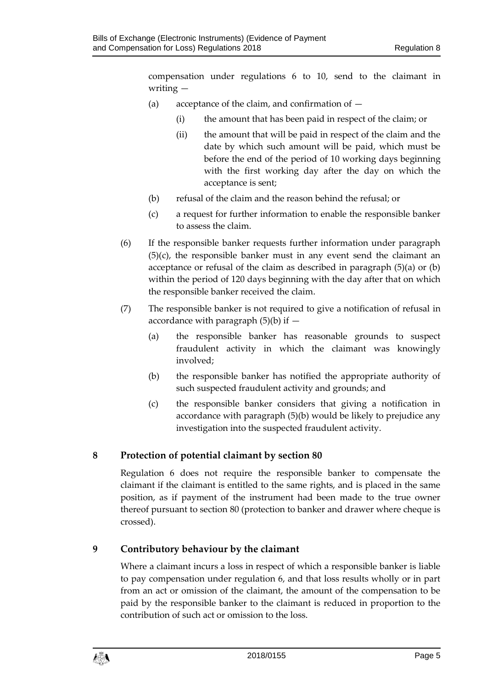compensation under regulations 6 to 10, send to the claimant in writing —

- (a) acceptance of the claim, and confirmation of
	- (i) the amount that has been paid in respect of the claim; or
	- (ii) the amount that will be paid in respect of the claim and the date by which such amount will be paid, which must be before the end of the period of 10 working days beginning with the first working day after the day on which the acceptance is sent;
- (b) refusal of the claim and the reason behind the refusal; or
- (c) a request for further information to enable the responsible banker to assess the claim.
- (6) If the responsible banker requests further information under paragraph (5)(c), the responsible banker must in any event send the claimant an acceptance or refusal of the claim as described in paragraph (5)(a) or (b) within the period of 120 days beginning with the day after that on which the responsible banker received the claim.
- (7) The responsible banker is not required to give a notification of refusal in accordance with paragraph  $(5)(b)$  if  $-$ 
	- (a) the responsible banker has reasonable grounds to suspect fraudulent activity in which the claimant was knowingly involved;
	- (b) the responsible banker has notified the appropriate authority of such suspected fraudulent activity and grounds; and
	- (c) the responsible banker considers that giving a notification in accordance with paragraph (5)(b) would be likely to prejudice any investigation into the suspected fraudulent activity.

# **8 Protection of potential claimant by section 80**

Regulation 6 does not require the responsible banker to compensate the claimant if the claimant is entitled to the same rights, and is placed in the same position, as if payment of the instrument had been made to the true owner thereof pursuant to section 80 (protection to banker and drawer where cheque is crossed).

# **9 Contributory behaviour by the claimant**

Where a claimant incurs a loss in respect of which a responsible banker is liable to pay compensation under regulation 6, and that loss results wholly or in part from an act or omission of the claimant, the amount of the compensation to be paid by the responsible banker to the claimant is reduced in proportion to the contribution of such act or omission to the loss.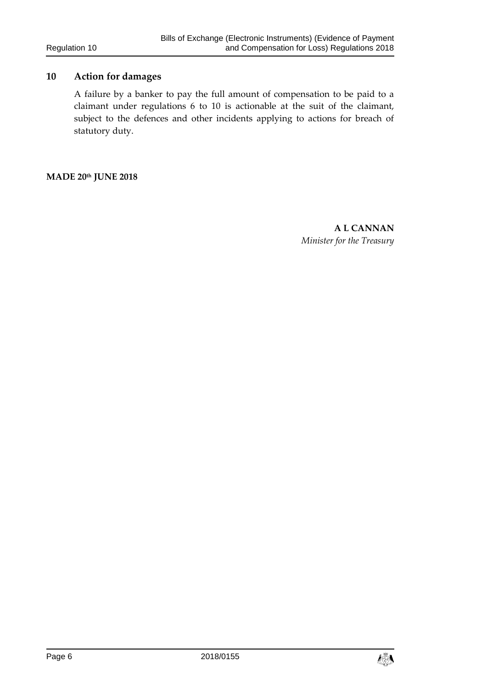# **10 Action for damages**

A failure by a banker to pay the full amount of compensation to be paid to a claimant under regulations 6 to 10 is actionable at the suit of the claimant, subject to the defences and other incidents applying to actions for breach of statutory duty.

**MADE 20th JUNE 2018**

**A L CANNAN** *Minister for the Treasury*